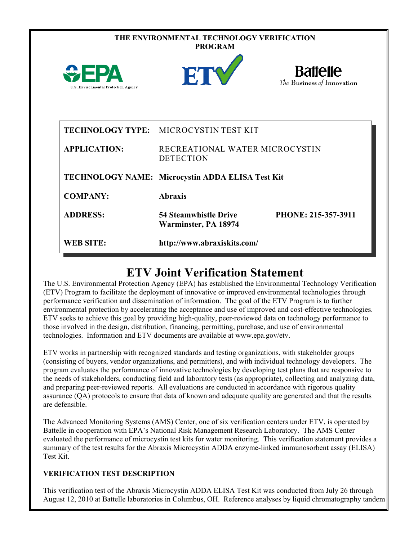|                                             | THE ENVIRONMENTAL TECHNOLOGY VERIFICATION<br><b>PROGRAM</b> |                                               |
|---------------------------------------------|-------------------------------------------------------------|-----------------------------------------------|
| FΡΔ<br>U.S. Environmental Protection Agency | ET                                                          | <b>Battelle</b><br>The Business of Innovation |
|                                             | TECHNOLOGY TYPE: MICROCYSTIN TEST KIT                       |                                               |
| <b>APPLICATION:</b>                         | RECREATIONAL WATER MICROCYSTIN<br><b>DETECTION</b>          |                                               |
|                                             | TECHNOLOGY NAME: Microcystin ADDA ELISA Test Kit            |                                               |
| <b>COMPANY:</b>                             | <b>Abraxis</b>                                              |                                               |
| <b>ADDRESS:</b>                             | <b>54 Steamwhistle Drive</b><br>Warminster, PA 18974        | PHONE: 215-357-3911                           |
| <b>WEB SITE:</b>                            | http://www.abraxiskits.com/                                 |                                               |

# **ETV Joint Verification Statement**

The U.S. Environmental Protection Agency (EPA) has established the Environmental Technology Verification (ETV) Program to facilitate the deployment of innovative or improved environmental technologies through performance verification and dissemination of information. The goal of the ETV Program is to further environmental protection by accelerating the acceptance and use of improved and cost-effective technologies. ETV seeks to achieve this goal by providing high-quality, peer-reviewed data on technology performance to those involved in the design, distribution, financing, permitting, purchase, and use of environmental technologies. Information and ETV documents are available at www.epa.gov/etv.

ETV works in partnership with recognized standards and testing organizations, with stakeholder groups (consisting of buyers, vendor organizations, and permitters), and with individual technology developers. The program evaluates the performance of innovative technologies by developing test plans that are responsive to the needs of stakeholders, conducting field and laboratory tests (as appropriate), collecting and analyzing data, and preparing peer-reviewed reports. All evaluations are conducted in accordance with rigorous quality assurance (QA) protocols to ensure that data of known and adequate quality are generated and that the results are defensible.

The Advanced Monitoring Systems (AMS) Center, one of six verification centers under ETV, is operated by Battelle in cooperation with EPA's National Risk Management Research Laboratory. The AMS Center evaluated the performance of microcystin test kits for water monitoring. This verification statement provides a summary of the test results for the Abraxis Microcystin ADDA enzyme-linked immunosorbent assay (ELISA) Test Kit.

## **VERIFICATION TEST DESCRIPTION**

This verification test of the Abraxis Microcystin ADDA ELISA Test Kit was conducted from July 26 through August 12, 2010 at Battelle laboratories in Columbus, OH. Reference analyses by liquid chromatography tandem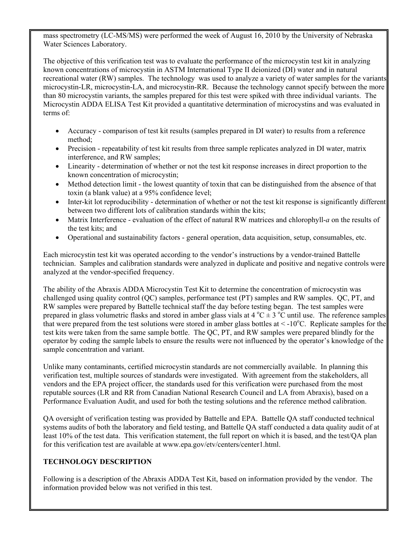mass spectrometry (LC-MS/MS) were performed the week of August 16, 2010 by the University of Nebraska Water Sciences Laboratory.

The objective of this verification test was to evaluate the performance of the microcystin test kit in analyzing known concentrations of microcystin in ASTM International Type II deionized (DI) water and in natural recreational water (RW) samples. The technology was used to analyze a variety of water samples for the variants microcystin-LR, microcystin-LA, and microcystin-RR. Because the technology cannot specify between the more than 80 microcystin variants, the samples prepared for this test were spiked with three individual variants. The Microcystin ADDA ELISA Test Kit provided a quantitative determination of microcystins and was evaluated in terms of:

- Accuracy comparison of test kit results (samples prepared in DI water) to results from a reference method;
- Precision repeatability of test kit results from three sample replicates analyzed in DI water, matrix interference, and RW samples;
- Linearity determination of whether or not the test kit response increases in direct proportion to the known concentration of microcystin;
- Method detection limit the lowest quantity of toxin that can be distinguished from the absence of that toxin (a blank value) at a 95% confidence level;
- Inter-kit lot reproducibility determination of whether or not the test kit response is significantly different between two different lots of calibration standards within the kits;
- Matrix Interference evaluation of the effect of natural RW matrices and chlorophyll-*a* on the results of the test kits; and
- Operational and sustainability factors general operation, data acquisition, setup, consumables, etc.

Each microcystin test kit was operated according to the vendor's instructions by a vendor-trained Battelle technician. Samples and calibration standards were analyzed in duplicate and positive and negative controls were analyzed at the vendor-specified frequency.

The ability of the Abraxis ADDA Microcystin Test Kit to determine the concentration of microcystin was challenged using quality control (QC) samples, performance test (PT) samples and RW samples. QC, PT, and RW samples were prepared by Battelle technical staff the day before testing began. The test samples were prepared in glass volumetric flasks and stored in amber glass vials at 4  $^{\circ}$ C  $\pm$  3  $^{\circ}$ C until use. The reference samples that were prepared from the test solutions were stored in amber glass bottles at  $\lt$  -10°C. Replicate samples for the test kits were taken from the same sample bottle. The QC, PT, and RW samples were prepared blindly for the operator by coding the sample labels to ensure the results were not influenced by the operator's knowledge of the sample concentration and variant.

Unlike many contaminants, certified microcystin standards are not commercially available. In planning this verification test, multiple sources of standards were investigated. With agreement from the stakeholders, all vendors and the EPA project officer, the standards used for this verification were purchased from the most reputable sources (LR and RR from Canadian National Research Council and LA from Abraxis), based on a Performance Evaluation Audit, and used for both the testing solutions and the reference method calibration.

QA oversight of verification testing was provided by Battelle and EPA. Battelle QA staff conducted technical systems audits of both the laboratory and field testing, and Battelle QA staff conducted a data quality audit of at least 10% of the test data. This verification statement, the full report on which it is based, and the test/QA plan for this verification test are available at www.epa.gov/etv/centers/center1.html.

# **TECHNOLOGY DESCRIPTION**

Following is a description of the Abraxis ADDA Test Kit, based on information provided by the vendor. The information provided below was not verified in this test.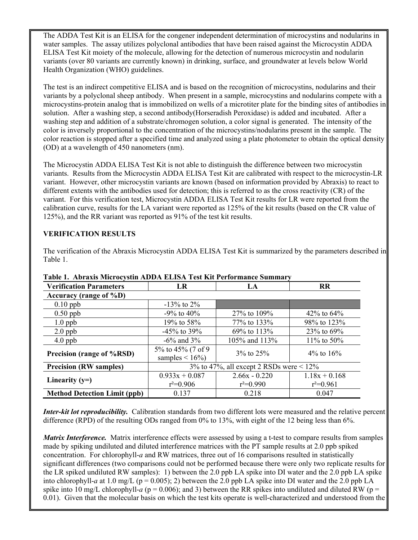The ADDA Test Kit is an ELISA for the congener independent determination of microcystins and nodularins in water samples. The assay utilizes polyclonal antibodies that have been raised against the Microcystin ADDA ELISA Test Kit moiety of the molecule, allowing for the detection of numerous microcystin and nodularin variants (over 80 variants are currently known) in drinking, surface, and groundwater at levels below World Health Organization (WHO) guidelines.

The test is an indirect competitive ELISA and is based on the recognition of microcystins, nodularins and their variants by a polyclonal sheep antibody. When present in a sample, microcystins and nodularins compete with a microcystins-protein analog that is immobilized on wells of a microtiter plate for the binding sites of antibodies in solution. After a washing step, a second antibody(Horseradish Peroxidase) is added and incubated. After a washing step and addition of a substrate/chromogen solution, a color signal is generated. The intensity of the color is inversely proportional to the concentration of the microcystins/nodularins present in the sample. The color reaction is stopped after a specified time and analyzed using a plate photometer to obtain the optical density (OD) at a wavelength of 450 nanometers (nm).

The Microcystin ADDA ELISA Test Kit is not able to distinguish the difference between two microcystin variants. Results from the Microcystin ADDA ELISA Test Kit are calibrated with respect to the microcystin-LR variant. However, other microcystin variants are known (based on information provided by Abraxis) to react to different extents with the antibodies used for detection; this is referred to as the cross reactivity (CR) of the variant. For this verification test, Microcystin ADDA ELISA Test Kit results for LR were reported from the calibration curve, results for the LA variant were reported as 125% of the kit results (based on the CR value of 125%), and the RR variant was reported as 91% of the test kit results.

## **VERIFICATION RESULTS**

The verification of the Abraxis Microcystin ADDA ELISA Test Kit is summarized by the parameters described in Table 1.

| Tubiv It Tibi uais blivi ovystin Tib DTI EEHSTI TVSt Init I VITOI muhtve Summut<br><b>Verification Parameters</b> | LR                                           | LA              | <b>RR</b>       |  |  |  |
|-------------------------------------------------------------------------------------------------------------------|----------------------------------------------|-----------------|-----------------|--|--|--|
| Accuracy (range of $\%D$ )                                                                                        |                                              |                 |                 |  |  |  |
| $0.10$ ppb                                                                                                        | $-13\%$ to 2%                                |                 |                 |  |  |  |
| $0.50$ ppb                                                                                                        | $-9\%$ to $40\%$                             | 27% to 109%     | 42\% to $64\%$  |  |  |  |
| $1.0$ ppb                                                                                                         | 19% to 58%                                   | 77\% to 133\%   | 98% to 123%     |  |  |  |
| $2.0$ ppb                                                                                                         | $-45\%$ to 39%                               | 69% to 113%     | 23% to 69%      |  |  |  |
| $4.0$ ppb                                                                                                         | $-6\%$ and 3%                                | 105% and 113%   | 11\% to 50\%    |  |  |  |
| Precision (range of %RSD)                                                                                         | 5% to 45% (7 of 9)<br>samples $\leq 16\%$    | $3\%$ to $25\%$ | 4\% to 16\%     |  |  |  |
| <b>Precision (RW samples)</b>                                                                                     | 3% to 47%, all except 2 RSDs were $\leq$ 12% |                 |                 |  |  |  |
| Linearity $(y=)$                                                                                                  | $0.933x + 0.087$                             | $2.66x - 0.220$ | $1.18x + 0.168$ |  |  |  |
|                                                                                                                   | $r^2=0.906$                                  | $r^2=0.990$     | $r^2=0.961$     |  |  |  |
| <b>Method Detection Limit (ppb)</b>                                                                               | 0.137                                        | 0.218           | 0.047           |  |  |  |

#### **Table 1. Abraxis Microcystin ADDA ELISA Test Kit Performance Summary**

*Inter-kit lot reproducibility.* Calibration standards from two different lots were measured and the relative percent difference (RPD) of the resulting ODs ranged from 0% to 13%, with eight of the 12 being less than 6%.

*Matrix Interference.* Matrix interference effects were assessed by using a t-test to compare results from samples made by spiking undiluted and diluted interference matrices with the PT sample results at 2.0 ppb spiked concentration. For chlorophyll-*a* and RW matrices, three out of 16 comparisons resulted in statistically significant differences (two comparisons could not be performed because there were only two replicate results for the LR spiked undiluted RW samples): 1) between the 2.0 ppb LA spike into DI water and the 2.0 ppb LA spike into chlorophyll-*a* at 1.0 mg/L ( $p = 0.005$ ); 2) between the 2.0 ppb LA spike into DI water and the 2.0 ppb LA spike into 10 mg/L chlorophyll-*a* ( $p = 0.006$ ); and 3) between the RR spikes into undiluted and diluted RW ( $p =$ 0.01). Given that the molecular basis on which the test kits operate is well-characterized and understood from the